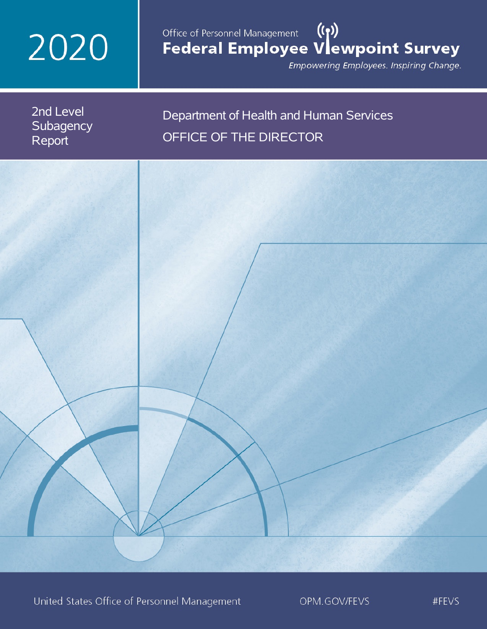# 2020

# Office of Personnel Management (())<br>Federal Employee Vlewpoint Survey

Empowering Employees. Inspiring Change.

2nd Level **Subagency** Report

## Department of Health and Human Services OFFICE OF THE DIRECTOR

United States Office of Personnel Management

OPM.GOV/FEVS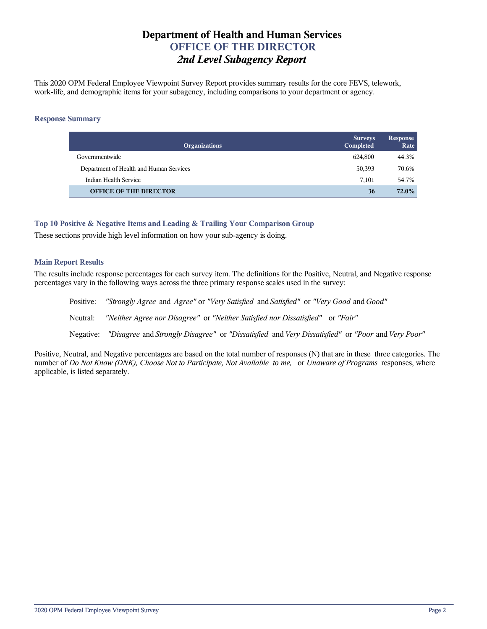## **Department of Health and Human Services OFFICE OF THE DIRECTOR** *2nd Level Subagency Report*

This 2020 OPM Federal Employee Viewpoint Survey Report provides summary results for the core FEVS, telework, work-life, and demographic items for your subagency, including comparisons to your department or agency.

#### **Response Summary**

| <b>Organizations</b>                    | <b>Surveys</b><br>Completed | <b>Response</b><br>Rate |
|-----------------------------------------|-----------------------------|-------------------------|
| Governmentwide                          | 624.800                     | 44.3%                   |
| Department of Health and Human Services | 50,393                      | 70.6%                   |
| Indian Health Service                   | 7.101                       | 54.7%                   |
| <b>OFFICE OF THE DIRECTOR</b>           | 36                          | <b>72.0%</b>            |

#### **Top 10 Positive & Negative Items and Leading & Trailing Your Comparison Group**

These sections provide high level information on how your sub-agency is doing.

#### **Main Report Results**

The results include response percentages for each survey item. The definitions for the Positive, Neutral, and Negative response percentages vary in the following ways across the three primary response scales used in the survey:

Positive: *"Strongly Agree* and *Agree"* or *"Very Satisfied* and *Satisfied"* or *"Very Good* and *Good"* Neutral: *"Neither Agree nor Disagree"* or *"Neither Satisfied nor Dissatisfied"* or *"Fair"* Negative: *"Disagree* and *Strongly Disagree"* or *"Dissatisfied* and *Very Dissatisfied"* or *"Poor* and *Very Poor"*

Positive, Neutral, and Negative percentages are based on the total number of responses (N) that are in these three categories. The number of *Do Not Know (DNK), Choose Not to Participate, Not Available to me,* or *Unaware of Programs* responses, where applicable, is listed separately.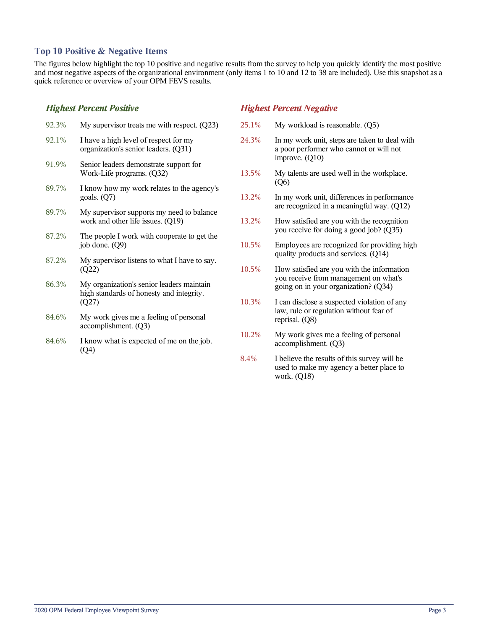#### **Top 10 Positive & Negative Items**

The figures below highlight the top 10 positive and negative results from the survey to help you quickly identify the most positive and most negative aspects of the organizational environment (only items 1 to 10 and 12 to 38 are included). Use this snapshot as a quick reference or overview of your OPM FEVS results.

#### *Highest Percent Positive*

| 92.3% | My supervisor treats me with respect. $(Q23)$                                                  | 25.1 |
|-------|------------------------------------------------------------------------------------------------|------|
| 92.1% | I have a high level of respect for my<br>organization's senior leaders. (Q31)                  | 24.1 |
| 91.9% | Senior leaders demonstrate support for<br>Work-Life programs. (Q32)                            | 13.5 |
| 89.7% | I know how my work relates to the agency's<br>goals. $(Q7)$                                    | 13.2 |
| 89.7% | My supervisor supports my need to balance<br>work and other life issues. (Q19)                 | 13.2 |
| 87.2% | The people I work with cooperate to get the<br>job done. (Q9)                                  | 10.5 |
| 87.2% | My supervisor listens to what I have to say.<br>(Q22)                                          | 10.5 |
| 86.3% | My organization's senior leaders maintain<br>high standards of honesty and integrity.<br>(Q27) | 10.2 |
| 84.6% | My work gives me a feeling of personal<br>accomplishment. (Q3)                                 |      |
| 84.6% | I know what is expected of me on the job.<br>(Q4)                                              | 10.2 |

#### *Highest Percent Negative*

- 1% My workload is reasonable. (Q5)
	- 24.3% In my work unit, steps are taken to deal with a poor performer who cannot or will not improve. (Q10)
	- 5% My talents are used well in the workplace. (Q6)
	- 13.2% In my work unit, differences in performance are recognized in a meaningful way. (Q12)
	- 13.2% How satisfied are you with the recognition you receive for doing a good job? (Q35)
	- 5% Employees are recognized for providing high quality products and services. (Q14)
- 10.5% How satisfied are you with the information you receive from management on what's going on in your organization? (Q34)
- 10.3% I can disclose a suspected violation of any law, rule or regulation without fear of reprisal. (Q8)
- 2% My work gives me a feeling of personal accomplishment. (Q3)
- 8.4% I believe the results of this survey will be used to make my agency a better place to work. (Q18)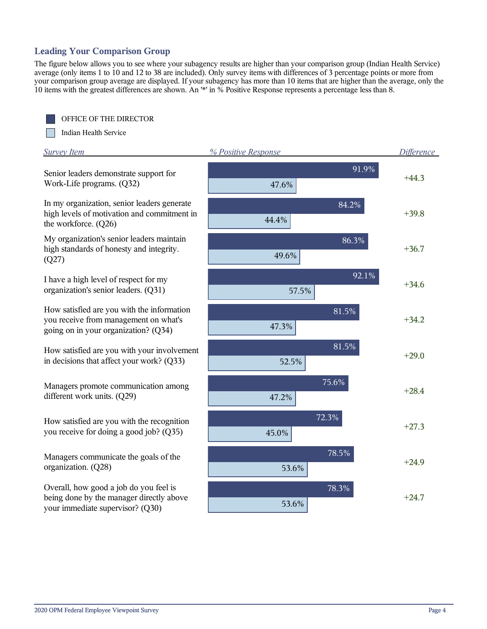## **Leading Your Comparison Group**

The figure below allows you to see where your subagency results are higher than your comparison group (Indian Health Service) average (only items 1 to 10 and 12 to 38 are included). Only survey items with differences of 3 percentage points or more from your comparison group average are displayed. If your subagency has more than 10 items that are higher than the average, only the 10 items with the greatest differences are shown. An '\*' in % Positive Response represents a percentage less than 8.

OFFICE OF THE DIRECTOR

Indian Health Service

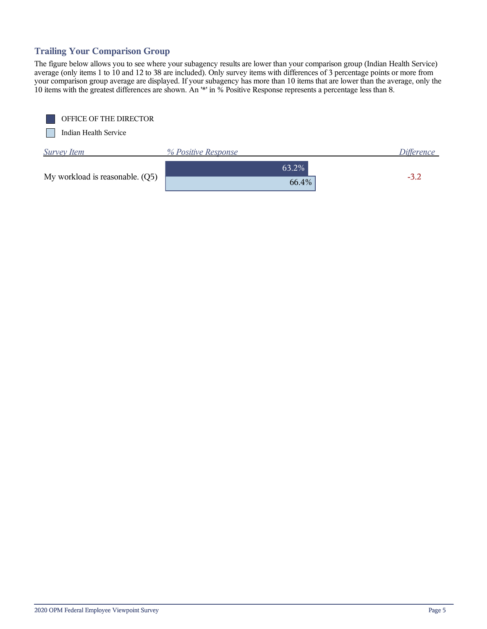## **Trailing Your Comparison Group**

The figure below allows you to see where your subagency results are lower than your comparison group (Indian Health Service) average (only items 1 to 10 and 12 to 38 are included). Only survey items with differences of 3 percentage points or more from your comparison group average are displayed. If your subagency has more than 10 items that are lower than the average, only the 10 items with the greatest differences are shown. An '\*' in % Positive Response represents a percentage less than 8.

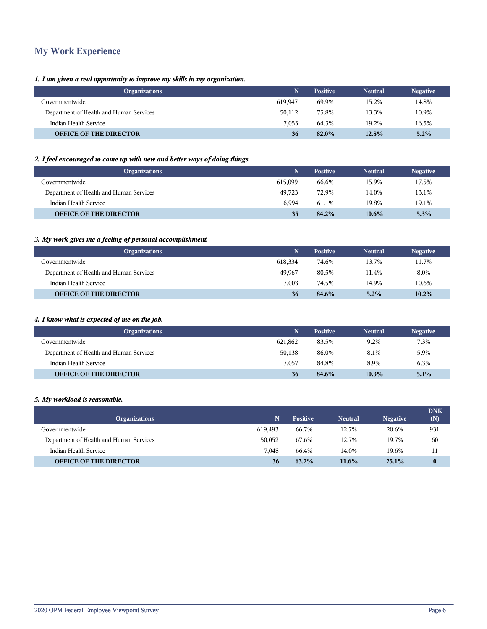## **My Work Experience**

#### *1. I am given a real opportunity to improve my skills in my organization.*

| <b>Neutral</b>                   | <b>Negative</b>                                     |
|----------------------------------|-----------------------------------------------------|
| 15.2%                            | 14.8%                                               |
| 13.3%                            | 10.9%                                               |
| 19.2%                            | 16.5%                                               |
| 12.8%                            | 5.2%                                                |
| 619.947<br>50,112<br>7.053<br>36 | <b>Positive</b><br>69.9%<br>75.8%<br>64.3%<br>82.0% |

#### *2. I feel encouraged to come up with new and better ways of doing things.*

| <b>Organizations</b>                    | N       | <b>Positive</b> | <b>Neutral</b> | <b>Negative</b> |
|-----------------------------------------|---------|-----------------|----------------|-----------------|
| Governmentwide                          | 615.099 | 66.6%           | 15.9%          | 17.5%           |
| Department of Health and Human Services | 49.723  | 72.9%           | 14.0%          | 13.1%           |
| Indian Health Service                   | 6.994   | 61.1%           | 19.8%          | 19.1%           |
| <b>OFFICE OF THE DIRECTOR</b>           | 35      | 84.2%           | $10.6\%$       | 5.3%            |

#### *3. My work gives me a feeling of personal accomplishment.*

| <b>Organizations</b>                    |         | <b>Positive</b> | <b>Neutral</b> | <b>Negative</b> |
|-----------------------------------------|---------|-----------------|----------------|-----------------|
| Governmentwide                          | 618.334 | 74.6%           | 13.7%          | 11.7%           |
| Department of Health and Human Services | 49.967  | 80.5%           | 11.4%          | 8.0%            |
| Indian Health Service                   | 7.003   | 74.5%           | 14.9%          | 10.6%           |
| <b>OFFICE OF THE DIRECTOR</b>           | 36      | 84.6%           | 5.2%           | 10.2%           |

#### *4. I know what is expected of me on the job.*

| <b>Organizations</b>                    | N       | <b>Positive</b> | <b>Neutral</b> | <b>Negative</b> |
|-----------------------------------------|---------|-----------------|----------------|-----------------|
| Governmentwide                          | 621.862 | 83.5%           | 9.2%           | 7.3%            |
| Department of Health and Human Services | 50,138  | 86.0%           | 8.1%           | 5.9%            |
| Indian Health Service                   | 7.057   | 84.8%           | 8.9%           | 6.3%            |
| <b>OFFICE OF THE DIRECTOR</b>           | 36      | 84.6%           | 10.3%          | 5.1%            |

#### *5. My workload is reasonable.*

| <b>Organizations</b>                    | N       | <b>Positive</b> | <b>Neutral</b> | <b>Negative</b> | <b>DNK</b><br>(N) |
|-----------------------------------------|---------|-----------------|----------------|-----------------|-------------------|
| Governmentwide                          | 619.493 | 66.7%           | 12.7%          | 20.6%           | 931               |
| Department of Health and Human Services | 50,052  | 67.6%           | 12.7%          | 19.7%           | 60                |
| Indian Health Service                   | 7.048   | 66.4%           | 14.0%          | 19.6%           | 11                |
| <b>OFFICE OF THE DIRECTOR</b>           | 36      | $63.2\%$        | $11.6\%$       | 25.1%           | $\bf{0}$          |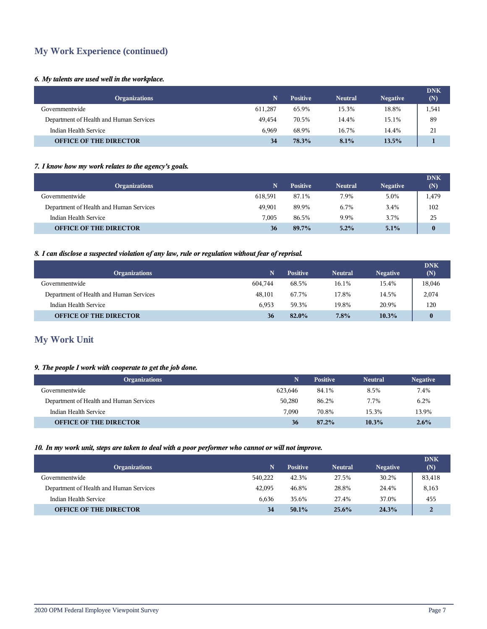## **My Work Experience (continued)**

#### *6. My talents are used well in the workplace.*

| <b>Organizations</b>                    |         | <b>Positive</b> | <b>Neutral</b> | <b>Negative</b> | <b>DNK</b><br>(N) |
|-----------------------------------------|---------|-----------------|----------------|-----------------|-------------------|
| Governmentwide                          | 611.287 | 65.9%           | 15.3%          | 18.8%           | 1,541             |
| Department of Health and Human Services | 49.454  | 70.5%           | 14.4%          | 15.1%           | 89                |
| Indian Health Service                   | 6.969   | 68.9%           | 16.7%          | 14.4%           | 21                |
| <b>OFFICE OF THE DIRECTOR</b>           | 34      | 78.3%           | 8.1%           | 13.5%           |                   |

#### *7. I know how my work relates to the agency's goals.*

| <b>Organizations</b>                    | 'N.     | <b>Positive</b> | <b>Neutral</b> | <b>Negative</b> | <b>DNK</b><br>(N) |
|-----------------------------------------|---------|-----------------|----------------|-----------------|-------------------|
| Governmentwide                          | 618,591 | 87.1%           | 7.9%           | 5.0%            | 1,479             |
| Department of Health and Human Services | 49.901  | 89.9%           | 6.7%           | 3.4%            | 102               |
| Indian Health Service                   | 7.005   | 86.5%           | 9.9%           | 3.7%            | 25                |
| <b>OFFICE OF THE DIRECTOR</b>           | 36      | 89.7%           | $5.2\%$        | 5.1%            | $\mathbf{0}$      |

#### *8. I can disclose a suspected violation of any law, rule or regulation without fear of reprisal.*

| <b>Organizations</b>                    |         | <b>Positive</b> | <b>Neutral</b> | <b>Negative</b> | <b>DNK</b><br>(N) |
|-----------------------------------------|---------|-----------------|----------------|-----------------|-------------------|
| Governmentwide                          | 604.744 | 68.5%           | 16.1%          | 15.4%           | 18,046            |
| Department of Health and Human Services | 48,101  | 67.7%           | 17.8%          | 14.5%           | 2,074             |
| Indian Health Service                   | 6.953   | 59.3%           | 19.8%          | 20.9%           | 120               |
| <b>OFFICE OF THE DIRECTOR</b>           | 36      | 82.0%           | 7.8%           | 10.3%           | $\bf{0}$          |

## **My Work Unit**

#### *9. The people I work with cooperate to get the job done.*

| <b>Organizations</b>                    | N       | <b>Positive</b> | <b>Neutral</b> | <b>Negative</b> |
|-----------------------------------------|---------|-----------------|----------------|-----------------|
| Governmentwide                          | 623,646 | 84.1%           | 8.5%           | 7.4%            |
| Department of Health and Human Services | 50.280  | 86.2%           | 7.7%           | 6.2%            |
| Indian Health Service                   | 7.090   | 70.8%           | 15.3%          | 13.9%           |
| <b>OFFICE OF THE DIRECTOR</b>           | 36      | 87.2%           | 10.3%          | 2.6%            |

#### *10. In my work unit, steps are taken to deal with a poor performer who cannot or will not improve.*

| <b>Organizations</b>                    | N       | <b>Positive</b> | <b>Neutral</b> | <b>Negative</b> | <b>DNK</b><br>(N) |
|-----------------------------------------|---------|-----------------|----------------|-----------------|-------------------|
| Governmentwide                          | 540.222 | 42.3%           | 27.5%          | 30.2%           | 83,418            |
| Department of Health and Human Services | 42,095  | 46.8%           | 28.8%          | 24.4%           | 8,163             |
| Indian Health Service                   | 6.636   | 35.6%           | 27.4%          | 37.0%           | 455               |
| <b>OFFICE OF THE DIRECTOR</b>           | 34      | $50.1\%$        | 25.6%          | 24.3%           | $\overline{2}$    |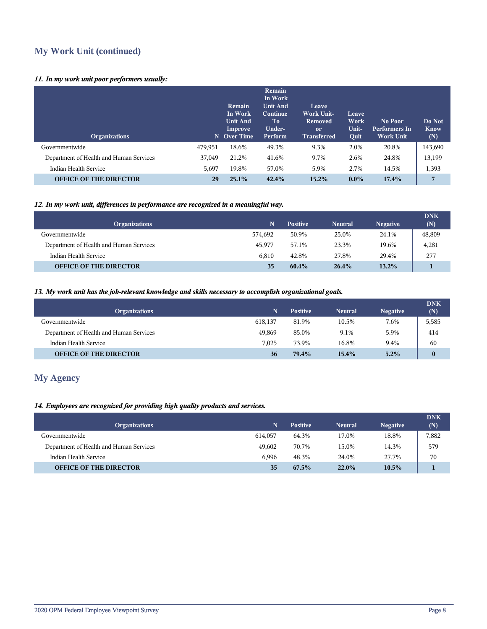## **My Work Unit (continued)**

#### *11. In my work unit poor performers usually:*

| <b>Organizations</b>                    |         | <b>Remain</b><br>In Work<br><b>Unit And</b><br>Improve<br>N Over Time | Remain<br>In Work<br><b>Unit And</b><br>Continue<br>Tо<br>Under-<br>Perform | Leave<br><b>Work Unit-</b><br><b>Removed</b><br><sub>or</sub><br><b>Transferred</b> | Leave<br>Work<br>Unit-<br>Quit | No Poor<br><b>Performers In</b><br><b>Work Unit</b> | Do Not<br><b>Know</b><br>(N) |
|-----------------------------------------|---------|-----------------------------------------------------------------------|-----------------------------------------------------------------------------|-------------------------------------------------------------------------------------|--------------------------------|-----------------------------------------------------|------------------------------|
| Governmentwide                          | 479,951 | 18.6%                                                                 | 49.3%                                                                       | 9.3%                                                                                | 2.0%                           | 20.8%                                               | 143,690                      |
| Department of Health and Human Services | 37,049  | 21.2%                                                                 | 41.6%                                                                       | 9.7%                                                                                | 2.6%                           | 24.8%                                               | 13,199                       |
| Indian Health Service                   | 5,697   | 19.8%                                                                 | 57.0%                                                                       | 5.9%                                                                                | 2.7%                           | 14.5%                                               | 1,393                        |
| <b>OFFICE OF THE DIRECTOR</b>           | 29      | 25.1%                                                                 | 42.4%                                                                       | 15.2%                                                                               | $0.0\%$                        | 17.4%                                               | 7                            |

#### *12. In my work unit, differences in performance are recognized in a meaningful way.*

| <b>Organizations</b>                    | N       | <b>Positive</b> | <b>Neutral</b> | <b>Negative</b> | <b>DNK</b><br>(N) |
|-----------------------------------------|---------|-----------------|----------------|-----------------|-------------------|
| Governmentwide                          | 574.692 | 50.9%           | 25.0%          | 24.1%           | 48,809            |
| Department of Health and Human Services | 45.977  | 57.1%           | 23.3%          | 19.6%           | 4,281             |
| Indian Health Service                   | 6.810   | 42.8%           | 27.8%          | 29.4%           | 277               |
| <b>OFFICE OF THE DIRECTOR</b>           | 35      | $60.4\%$        | 26.4%          | $13.2\%$        |                   |

#### *13. My work unit has the job-relevant knowledge and skills necessary to accomplish organizational goals.*

| <b>Organizations</b>                    |         | <b>Positive</b> | <b>Neutral</b> | <b>Negative</b> | <b>DNK</b><br>(N) |
|-----------------------------------------|---------|-----------------|----------------|-----------------|-------------------|
| Governmentwide                          | 618.137 | 81.9%           | 10.5%          | 7.6%            | 5,585             |
| Department of Health and Human Services | 49.869  | 85.0%           | 9.1%           | 5.9%            | 414               |
| Indian Health Service                   | 7.025   | 73.9%           | 16.8%          | 9.4%            | 60                |
| <b>OFFICE OF THE DIRECTOR</b>           | 36      | 79.4%           | $15.4\%$       | 5.2%            | $\mathbf{0}$      |

## **My Agency**

#### *14. Employees are recognized for providing high quality products and services.*

| <b>Organizations</b>                    | 'N.     | <b>Positive</b> | <b>Neutral</b> | <b>Negative</b> | <b>DNK</b><br>(N) |
|-----------------------------------------|---------|-----------------|----------------|-----------------|-------------------|
| Governmentwide                          | 614,057 | 64.3%           | 17.0%          | 18.8%           | 7,882             |
| Department of Health and Human Services | 49.602  | 70.7%           | 15.0%          | 14.3%           | 579               |
| Indian Health Service                   | 6.996   | 48.3%           | 24.0%          | 27.7%           | 70                |
| <b>OFFICE OF THE DIRECTOR</b>           | 35      | 67.5%           | $22.0\%$       | $10.5\%$        |                   |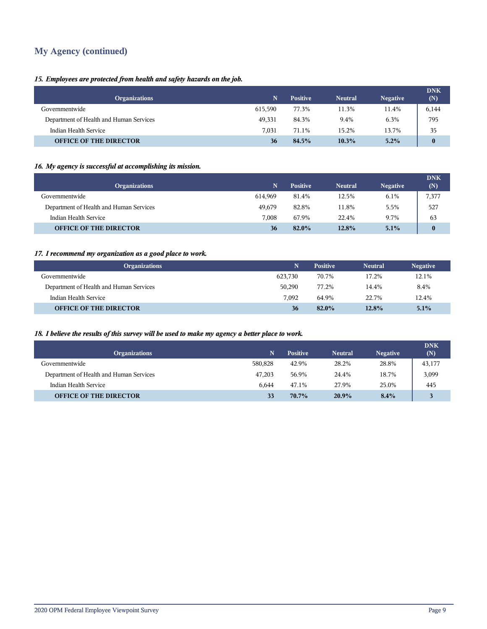## **My Agency (continued)**

#### *15. Employees are protected from health and safety hazards on the job.*

| <b>Organizations</b>                    |         | <b>Positive</b> | <b>Neutral</b> | <b>Negative</b> | <b>DNK</b><br>(N) |
|-----------------------------------------|---------|-----------------|----------------|-----------------|-------------------|
| Governmentwide                          | 615.590 | 77.3%           | 11.3%          | 11.4%           | 6,144             |
| Department of Health and Human Services | 49,331  | 84.3%           | 9.4%           | 6.3%            | 795               |
| Indian Health Service                   | 7,031   | 71.1%           | 15.2%          | 13.7%           | 35                |
| <b>OFFICE OF THE DIRECTOR</b>           | 36      | 84.5%           | $10.3\%$       | 5.2%            | $\mathbf{0}$      |

## *16. My agency is successful at accomplishing its mission.*

| <b>Organizations</b>                    | 'N.     | <b>Positive</b> | <b>Neutral</b> | <b>Negative</b> | <b>DNK</b><br>(N) |
|-----------------------------------------|---------|-----------------|----------------|-----------------|-------------------|
| Governmentwide                          | 614.969 | 81.4%           | 12.5%          | 6.1%            | 7,377             |
| Department of Health and Human Services | 49.679  | 82.8%           | 11.8%          | 5.5%            | 527               |
| Indian Health Service                   | 7.008   | 67.9%           | 22.4%          | 9.7%            | 63                |
| <b>OFFICE OF THE DIRECTOR</b>           | 36      | 82.0%           | 12.8%          | 5.1%            | $\bf{0}$          |

#### *17. I recommend my organization as a good place to work.*

| <b>Organizations</b>                    | Ñ       | <b>Positive</b> | <b>Neutral</b> | <b>Negative</b> |
|-----------------------------------------|---------|-----------------|----------------|-----------------|
| Governmentwide                          | 623.730 | 70.7%           | 17.2%          | 12.1%           |
| Department of Health and Human Services | 50,290  | 77.2%           | 14.4%          | 8.4%            |
| Indian Health Service                   | 7.092   | 64.9%           | 22.7%          | 12.4%           |
| <b>OFFICE OF THE DIRECTOR</b>           | 36      | $82.0\%$        | 12.8%          | 5.1%            |

#### *18. I believe the results of this survey will be used to make my agency a better place to work.*

| <b>Organizations</b>                    |         | <b>Positive</b> | <b>Neutral</b> | <b>Negative</b> | <b>DNK</b><br>(N) |
|-----------------------------------------|---------|-----------------|----------------|-----------------|-------------------|
| Governmentwide                          | 580.828 | 42.9%           | 28.2%          | 28.8%           | 43,177            |
| Department of Health and Human Services | 47,203  | 56.9%           | 24.4%          | 18.7%           | 3,099             |
| Indian Health Service                   | 6.644   | 47.1%           | 27.9%          | 25.0%           | 445               |
| <b>OFFICE OF THE DIRECTOR</b>           | 33      | $70.7\%$        | $20.9\%$       | 8.4%            |                   |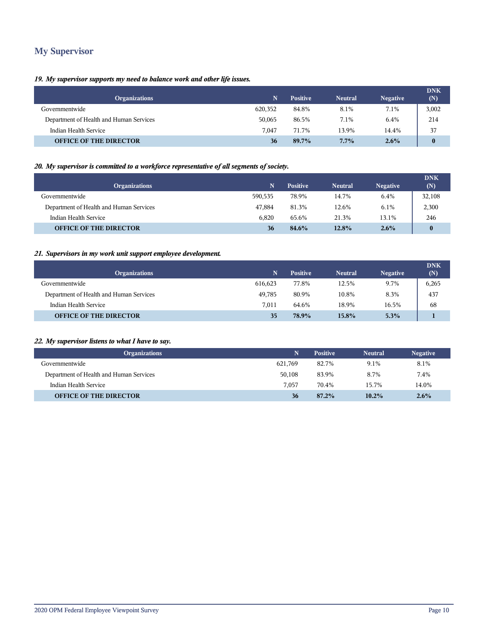## **My Supervisor**

#### *19. My supervisor supports my need to balance work and other life issues.*

| <b>Organizations</b>                    |         | <b>Positive</b> | <b>Neutral</b> | <b>Negative</b> | <b>DNK</b><br>(N) |
|-----------------------------------------|---------|-----------------|----------------|-----------------|-------------------|
| Governmentwide                          | 620,352 | 84.8%           | 8.1%           | 7.1%            | 3,002             |
| Department of Health and Human Services | 50,065  | 86.5%           | 7.1%           | 6.4%            | 214               |
| Indian Health Service                   | 7.047   | 71.7%           | 13.9%          | 14.4%           | 37                |
| <b>OFFICE OF THE DIRECTOR</b>           | 36      | 89.7%           | $7.7\%$        | $2.6\%$         | $\bf{0}$          |

#### *20. My supervisor is committed to a workforce representative of all segments of society.*

| <b>Organizations</b>                    |         | <b>Positive</b> | <b>Neutral</b> | <b>Negative</b> | <b>DNK</b><br>(N) |
|-----------------------------------------|---------|-----------------|----------------|-----------------|-------------------|
| Governmentwide                          | 590.535 | 78.9%           | 14.7%          | 6.4%            | 32,108            |
| Department of Health and Human Services | 47.884  | 81.3%           | 12.6%          | 6.1%            | 2,300             |
| Indian Health Service                   | 6.820   | 65.6%           | 21.3%          | 13.1%           | 246               |
| <b>OFFICE OF THE DIRECTOR</b>           | 36      | 84.6%           | $12.8\%$       | $2.6\%$         | $\bf{0}$          |

#### *21. Supervisors in my work unit support employee development.*

| <b>Organizations</b>                    | 'N.     | <b>Positive</b> | <b>Neutral</b> | <b>Negative</b> | <b>DNK</b><br>(N) |
|-----------------------------------------|---------|-----------------|----------------|-----------------|-------------------|
| Governmentwide                          | 616.623 | 77.8%           | 12.5%          | 9.7%            | 6,265             |
| Department of Health and Human Services | 49.785  | 80.9%           | 10.8%          | 8.3%            | 437               |
| Indian Health Service                   | 7.011   | 64.6%           | 18.9%          | 16.5%           | 68                |
| <b>OFFICE OF THE DIRECTOR</b>           | 35      | 78.9%           | 15.8%          | 5.3%            |                   |

#### *22. My supervisor listens to what I have to say.*

| <b>Organizations</b>                    |         | <b>Positive</b> | <b>Neutral</b> | <b>Negative</b> |
|-----------------------------------------|---------|-----------------|----------------|-----------------|
| Governmentwide                          | 621.769 | 82.7%           | 9.1%           | 8.1%            |
| Department of Health and Human Services | 50,108  | 83.9%           | 8.7%           | 7.4%            |
| Indian Health Service                   | 7.057   | 70.4%           | 15.7%          | 14.0%           |
| <b>OFFICE OF THE DIRECTOR</b>           | 36      | 87.2%           | 10.2%          | $2.6\%$         |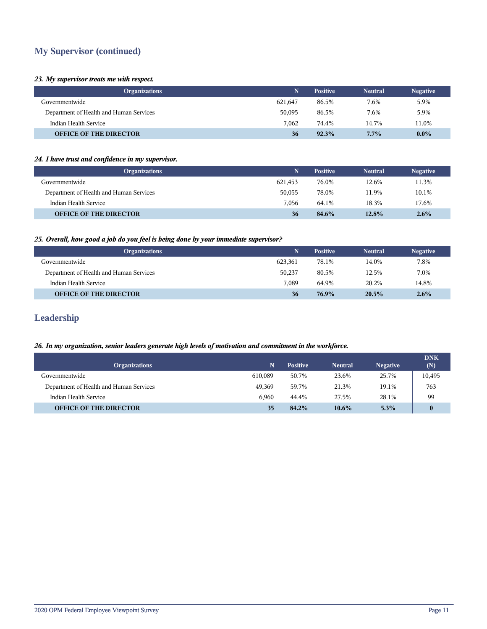## **My Supervisor (continued)**

#### *23. My supervisor treats me with respect.*

| <b>Organizations</b>                    |         | <b>Positive</b> | <b>Neutral</b> | <b>Negative</b> |
|-----------------------------------------|---------|-----------------|----------------|-----------------|
| Governmentwide                          | 621,647 | 86.5%           | 7.6%           | 5.9%            |
| Department of Health and Human Services | 50,095  | 86.5%           | 7.6%           | 5.9%            |
| Indian Health Service                   | 7.062   | 74.4%           | 14.7%          | 11.0%           |
| <b>OFFICE OF THE DIRECTOR</b>           | 36      | 92.3%           | 7.7%           | $0.0\%$         |

#### *24. I have trust and confidence in my supervisor.*

| <b>Organizations</b>                    | N       | <b>Positive</b> | <b>Neutral</b> | <b>Negative</b> |
|-----------------------------------------|---------|-----------------|----------------|-----------------|
| Governmentwide                          | 621,453 | 76.0%           | 12.6%          | 11.3%           |
| Department of Health and Human Services | 50,055  | 78.0%           | 11.9%          | 10.1%           |
| Indian Health Service                   | 7.056   | 64.1%           | 18.3%          | 17.6%           |
| <b>OFFICE OF THE DIRECTOR</b>           | 36      | 84.6%           | 12.8%          | 2.6%            |

#### *25. Overall, how good a job do you feel is being done by your immediate supervisor?*

| Organizations                           |         | <b>Positive</b> | <b>Neutral</b> | <b>Negative</b> |
|-----------------------------------------|---------|-----------------|----------------|-----------------|
| Governmentwide                          | 623.361 | 78.1%           | 14.0%          | 7.8%            |
| Department of Health and Human Services | 50.237  | 80.5%           | 12.5%          | 7.0%            |
| Indian Health Service                   | 7.089   | 64.9%           | 20.2%          | 14.8%           |
| <b>OFFICE OF THE DIRECTOR</b>           | 36      | 76.9%           | 20.5%          | 2.6%            |

### **Leadership**

#### *26. In my organization, senior leaders generate high levels of motivation and commitment in the workforce.*

|                                         |         |                 |                |                 | <b>DNK</b> |
|-----------------------------------------|---------|-----------------|----------------|-----------------|------------|
| <b>Organizations</b>                    |         | <b>Positive</b> | <b>Neutral</b> | <b>Negative</b> | (N)        |
| Governmentwide                          | 610.089 | 50.7%           | 23.6%          | 25.7%           | 10,495     |
| Department of Health and Human Services | 49.369  | 59.7%           | 21.3%          | 19.1%           | 763        |
| Indian Health Service                   | 6.960   | 44.4%           | 27.5%          | 28.1%           | 99         |
| <b>OFFICE OF THE DIRECTOR</b>           | 35      | 84.2%           | $10.6\%$       | 5.3%            | $\bf{0}$   |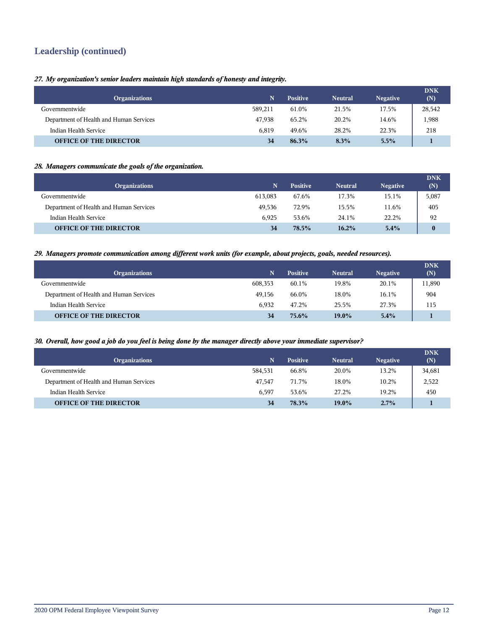## **Leadership (continued)**

*27. My organization's senior leaders maintain high standards of honesty and integrity.*

| <b>Organizations</b>                    |         | <b>Positive</b> | <b>Neutral</b> | <b>Negative</b> | <b>DNK</b><br>(N) |
|-----------------------------------------|---------|-----------------|----------------|-----------------|-------------------|
| Governmentwide                          | 589.211 | 61.0%           | 21.5%          | 17.5%           | 28,542            |
| Department of Health and Human Services | 47.938  | 65.2%           | 20.2%          | 14.6%           | .,988             |
| Indian Health Service                   | 6.819   | 49.6%           | 28.2%          | 22.3%           | 218               |
| <b>OFFICE OF THE DIRECTOR</b>           | 34      | 86.3%           | 8.3%           | 5.5%            |                   |

#### *28. Managers communicate the goals of the organization.*

| <b>Organizations</b>                    |         | <b>Positive</b> | <b>Neutral</b> | <b>Negative</b> | <b>DNK</b><br>(N) |
|-----------------------------------------|---------|-----------------|----------------|-----------------|-------------------|
| Governmentwide                          | 613,083 | 67.6%           | 17.3%          | 15.1%           | 5,087             |
| Department of Health and Human Services | 49.536  | 72.9%           | 15.5%          | 11.6%           | 405               |
| Indian Health Service                   | 6.925   | 53.6%           | 24.1%          | 22.2%           | 92                |
| <b>OFFICE OF THE DIRECTOR</b>           | 34      | 78.5%           | 16.2%          | $5.4\%$         | $\mathbf{0}$      |

#### *29. Managers promote communication among different work units (for example, about projects, goals, needed resources).*

| <b>Organizations</b>                    |         | <b>Positive</b> | <b>Neutral</b> | <b>Negative</b> | <b>DNK</b><br>(N) |
|-----------------------------------------|---------|-----------------|----------------|-----------------|-------------------|
| Governmentwide                          | 608.353 | 60.1%           | 19.8%          | 20.1%           | 11,890            |
| Department of Health and Human Services | 49,156  | 66.0%           | 18.0%          | 16.1%           | 904               |
| Indian Health Service                   | 6.932   | 47.2%           | 25.5%          | 27.3%           | 115               |
| <b>OFFICE OF THE DIRECTOR</b>           | 34      | 75.6%           | $19.0\%$       | 5.4%            |                   |

#### *30. Overall, how good a job do you feel is being done by the manager directly above your immediate supervisor?*

| <b>Organizations</b>                    |         | <b>Positive</b> | <b>Neutral</b> | <b>Negative</b> | <b>DNK</b><br>(N) |
|-----------------------------------------|---------|-----------------|----------------|-----------------|-------------------|
| Governmentwide                          | 584.531 | 66.8%           | 20.0%          | 13.2%           | 34,681            |
| Department of Health and Human Services | 47.547  | 71.7%           | 18.0%          | 10.2%           | 2,522             |
| Indian Health Service                   | 6.597   | 53.6%           | 27.2%          | 19.2%           | 450               |
| <b>OFFICE OF THE DIRECTOR</b>           | 34      | 78.3%           | 19.0%          | 2.7%            |                   |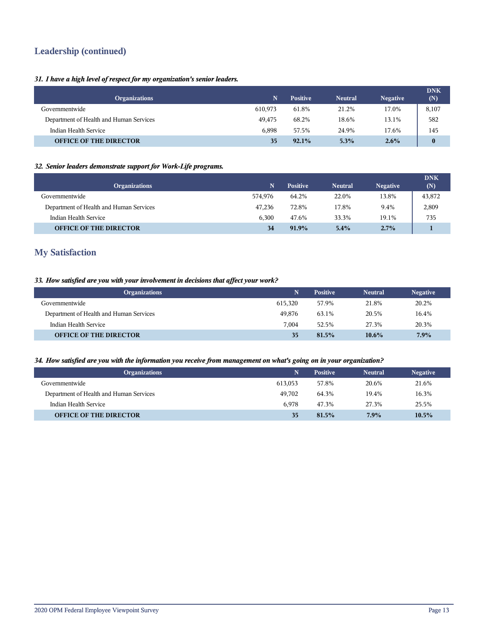## **Leadership (continued)**

#### *31. I have a high level of respect for my organization's senior leaders.*

| <b>Organizations</b>                    |         | <b>Positive</b> | <b>Neutral</b> | <b>Negative</b> | <b>DNK</b><br>(N) |
|-----------------------------------------|---------|-----------------|----------------|-----------------|-------------------|
| Governmentwide                          | 610.973 | 61.8%           | 21.2%          | 17.0%           | 8,107             |
| Department of Health and Human Services | 49.475  | 68.2%           | 18.6%          | 13.1%           | 582               |
| Indian Health Service                   | 6.898   | 57.5%           | 24.9%          | 17.6%           | 145               |
| <b>OFFICE OF THE DIRECTOR</b>           | 35      | 92.1%           | $5.3\%$        | $2.6\%$         | $\bf{0}$          |

#### *32. Senior leaders demonstrate support for Work-Life programs.*

| <b>Organizations</b>                    | N       | <b>Positive</b> | <b>Neutral</b> | <b>Negative</b> | <b>DNK</b><br>(N) |
|-----------------------------------------|---------|-----------------|----------------|-----------------|-------------------|
| Governmentwide                          | 574.976 | 64.2%           | 22.0%          | 13.8%           | 43,872            |
| Department of Health and Human Services | 47.236  | 72.8%           | 17.8%          | 9.4%            | 2,809             |
| Indian Health Service                   | 6.300   | 47.6%           | 33.3%          | 19.1%           | 735               |
| <b>OFFICE OF THE DIRECTOR</b>           | 34      | $91.9\%$        | 5.4%           | $2.7\%$         |                   |

## **My Satisfaction**

#### *33. How satisfied are you with your involvement in decisions that affect your work?*

| <b>Organizations</b>                    |         | <b>Positive</b> | <b>Neutral</b> | <b>Negative</b> |
|-----------------------------------------|---------|-----------------|----------------|-----------------|
| Governmentwide                          | 615.320 | 57.9%           | 21.8%          | 20.2%           |
| Department of Health and Human Services | 49.876  | 63.1%           | 20.5%          | 16.4%           |
| Indian Health Service                   | 7.004   | 52.5%           | 27.3%          | 20.3%           |
| <b>OFFICE OF THE DIRECTOR</b>           | 35      | $81.5\%$        | $10.6\%$       | 7.9%            |

#### *34. How satisfied are you with the information you receive from management on what's going on in your organization?*

| <b>Organizations</b>                    | N       | <b>Positive</b> | <b>Neutral</b> | <b>Negative</b> |
|-----------------------------------------|---------|-----------------|----------------|-----------------|
| Governmentwide                          | 613.053 | 57.8%           | 20.6%          | 21.6%           |
| Department of Health and Human Services | 49.702  | 64.3%           | 19.4%          | 16.3%           |
| Indian Health Service                   | 6.978   | 47.3%           | 27.3%          | 25.5%           |
| <b>OFFICE OF THE DIRECTOR</b>           | 35      | 81.5%           | 7.9%           | 10.5%           |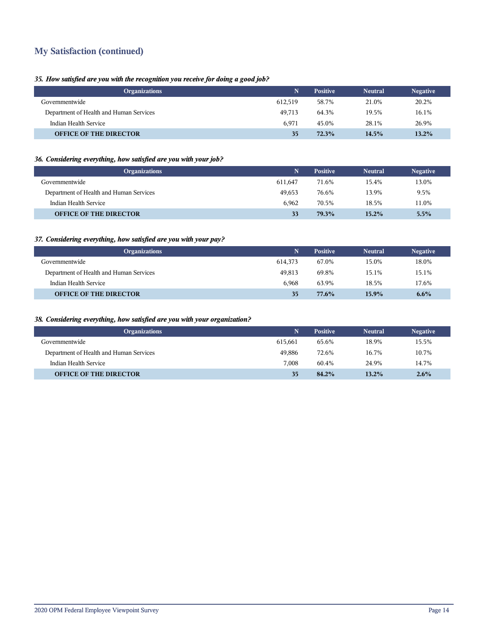## **My Satisfaction (continued)**

#### *35. How satisfied are you with the recognition you receive for doing a good job?*

| <b>Organizations</b>                    |         | <b>Positive</b> | <b>Neutral</b> | <b>Negative</b> |
|-----------------------------------------|---------|-----------------|----------------|-----------------|
| Governmentwide                          | 612.519 | 58.7%           | 21.0%          | 20.2%           |
| Department of Health and Human Services | 49.713  | 64.3%           | 19.5%          | 16.1%           |
| Indian Health Service                   | 6.971   | 45.0%           | 28.1%          | 26.9%           |
| <b>OFFICE OF THE DIRECTOR</b>           | 35      | 72.3%           | 14.5%          | 13.2%           |

#### *36. Considering everything, how satisfied are you with your job?*

| <b>Organizations</b>                    |         | <b>Positive</b> | <b>Neutral</b> | <b>Negative</b> |
|-----------------------------------------|---------|-----------------|----------------|-----------------|
| Governmentwide                          | 611.647 | 71.6%           | 15.4%          | 13.0%           |
| Department of Health and Human Services | 49.653  | 76.6%           | 13.9%          | 9.5%            |
| Indian Health Service                   | 6.962   | 70.5%           | 18.5%          | 11.0%           |
| <b>OFFICE OF THE DIRECTOR</b>           | 33      | 79.3%           | $15.2\%$       | 5.5%            |

#### *37. Considering everything, how satisfied are you with your pay?*

| <b>Organizations</b>                    | Ñ       | <b>Positive</b> | <b>Neutral</b> | <b>Negative</b> |
|-----------------------------------------|---------|-----------------|----------------|-----------------|
| Governmentwide                          | 614,373 | 67.0%           | 15.0%          | 18.0%           |
| Department of Health and Human Services | 49.813  | 69.8%           | 15.1%          | 15.1%           |
| Indian Health Service                   | 6.968   | 63.9%           | 18.5%          | 17.6%           |
| <b>OFFICE OF THE DIRECTOR</b>           | 35      | 77.6%           | 15.9%          | $6.6\%$         |

#### *38. Considering everything, how satisfied are you with your organization?*

| <b>Organizations</b>                    |         | <b>Positive</b> | <b>Neutral</b> | <b>Negative</b> |
|-----------------------------------------|---------|-----------------|----------------|-----------------|
| Governmentwide                          | 615.661 | 65.6%           | 18.9%          | 15.5%           |
| Department of Health and Human Services | 49.886  | 72.6%           | 16.7%          | 10.7%           |
| Indian Health Service                   | 7.008   | 60.4%           | 24.9%          | 14.7%           |
| <b>OFFICE OF THE DIRECTOR</b>           | 35      | 84.2%           | 13.2%          | 2.6%            |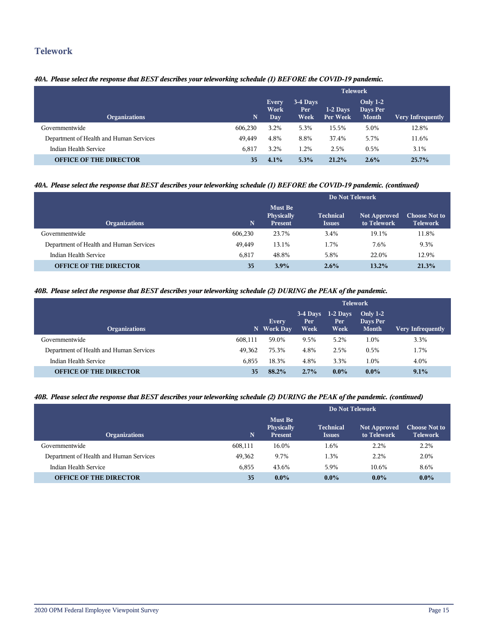### **Telework**

#### *40A. Please select the response that BEST describes your teleworking schedule (1) BEFORE the COVID-19 pandemic.*

|                                         |          | <b>Telework</b>                    |                                 |                        |                                             |                          |  |  |
|-----------------------------------------|----------|------------------------------------|---------------------------------|------------------------|---------------------------------------------|--------------------------|--|--|
| <b>Organizations</b>                    | <b>N</b> | <b>Every</b><br>Work<br><b>Day</b> | 3-4 Days<br>Per.<br><b>Week</b> | $1-2$ Days<br>Per Week | <b>Only 1-2</b><br>Days Per<br><b>Month</b> | <b>Very Infrequently</b> |  |  |
| Governmentwide                          | 606,230  | 3.2%                               | 5.3%                            | 15.5%                  | 5.0%                                        | 12.8%                    |  |  |
| Department of Health and Human Services | 49.449   | 4.8%                               | 8.8%                            | 37.4%                  | 5.7%                                        | 11.6%                    |  |  |
| Indian Health Service                   | 6,817    | 3.2%                               | 1.2%                            | 2.5%                   | 0.5%                                        | 3.1%                     |  |  |
| <b>OFFICE OF THE DIRECTOR</b>           | 35       | 4.1%                               | 5.3%                            | 21.2%                  | $2.6\%$                                     | 25.7%                    |  |  |

#### *40A. Please select the response that BEST describes your teleworking schedule (1) BEFORE the COVID-19 pandemic. (continued)*

|                                         | Do Not Telework |                                                |                                   |                                    |                                         |  |  |
|-----------------------------------------|-----------------|------------------------------------------------|-----------------------------------|------------------------------------|-----------------------------------------|--|--|
| <b>Organizations</b>                    | N               | <b>Must Be</b><br>Physically<br><b>Present</b> | <b>Technical</b><br><b>Issues</b> | <b>Not Approved</b><br>to Telework | <b>Choose Not to</b><br><b>Telework</b> |  |  |
| Governmentwide                          | 606,230         | 23.7%                                          | 3.4%                              | 19.1%                              | 11.8%                                   |  |  |
| Department of Health and Human Services | 49.449          | 13.1%                                          | 1.7%                              | 7.6%                               | 9.3%                                    |  |  |
| Indian Health Service                   | 6,817           | 48.8%                                          | 5.8%                              | 22.0%                              | 12.9%                                   |  |  |
| <b>OFFICE OF THE DIRECTOR</b>           | 35              | 3.9%                                           | 2.6%                              | $13.2\%$                           | 21.3%                                   |  |  |

#### *40B. Please select the response that BEST describes your teleworking schedule (2) DURING the PEAK of the pandemic.*

|                                         |         | <b>Telework</b>            |                           |                            |                                        |                          |  |  |
|-----------------------------------------|---------|----------------------------|---------------------------|----------------------------|----------------------------------------|--------------------------|--|--|
| <b>Organizations</b>                    |         | <b>Every</b><br>N Work Day | $3-4$ Days<br>Per<br>Week | $1-2$ Days<br>Per.<br>Week | Only $1-2$<br>Days Per<br><b>Month</b> | <b>Very Infrequently</b> |  |  |
| Governmentwide                          | 608,111 | 59.0%                      | 9.5%                      | 5.2%                       | 1.0%                                   | 3.3%                     |  |  |
| Department of Health and Human Services | 49.362  | 75.3%                      | 4.8%                      | 2.5%                       | 0.5%                                   | 1.7%                     |  |  |
| Indian Health Service                   | 6.855   | 18.3%                      | 4.8%                      | 3.3%                       | 1.0%                                   | 4.0%                     |  |  |
| <b>OFFICE OF THE DIRECTOR</b>           | 35      | 88.2%                      | 2.7%                      | $0.0\%$                    | $0.0\%$                                | 9.1%                     |  |  |

#### *40B. Please select the response that BEST describes your teleworking schedule (2) DURING the PEAK of the pandemic. (continued)*

|                                         |         | Do Not Telework                                |                                   |                                    |                                         |  |  |
|-----------------------------------------|---------|------------------------------------------------|-----------------------------------|------------------------------------|-----------------------------------------|--|--|
| <b>Organizations</b>                    | N.      | <b>Must Be</b><br>Physically<br><b>Present</b> | <b>Technical</b><br><b>Issues</b> | <b>Not Approved</b><br>to Telework | <b>Choose Not to</b><br><b>Telework</b> |  |  |
| Governmentwide                          | 608,111 | 16.0%                                          | 1.6%                              | 2.2%                               | 2.2%                                    |  |  |
| Department of Health and Human Services | 49,362  | 9.7%                                           | 1.3%                              | 2.2%                               | 2.0%                                    |  |  |
| Indian Health Service                   | 6.855   | 43.6%                                          | 5.9%                              | 10.6%                              | 8.6%                                    |  |  |
| <b>OFFICE OF THE DIRECTOR</b>           | 35      | $0.0\%$                                        | $0.0\%$                           | $0.0\%$                            | $0.0\%$                                 |  |  |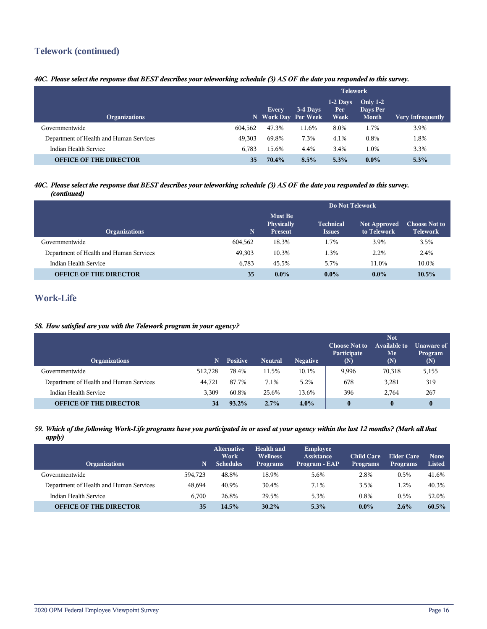## **Telework (continued)**

#### *40C. Please select the response that BEST describes your teleworking schedule (3) AS OF the date you responded to this survey.*

|                                         |         | <b>Telework</b>              |          |                            |                                             |                          |  |
|-----------------------------------------|---------|------------------------------|----------|----------------------------|---------------------------------------------|--------------------------|--|
| <b>Organizations</b>                    |         | Every<br>N Work Day Per Week | 3-4 Days | $1-2$ Days<br>Per:<br>Week | <b>Only 1-2</b><br>Days Per<br><b>Month</b> | <b>Very Infrequently</b> |  |
| Governmentwide                          | 604.562 | 47.3%                        | 11.6%    | 8.0%                       | 1.7%                                        | 3.9%                     |  |
| Department of Health and Human Services | 49.303  | 69.8%                        | 7.3%     | 4.1%                       | 0.8%                                        | 1.8%                     |  |
| Indian Health Service                   | 6.783   | 15.6%                        | 4.4%     | 3.4%                       | 1.0%                                        | 3.3%                     |  |
| <b>OFFICE OF THE DIRECTOR</b>           | 35      | 70.4%                        | 8.5%     | 5.3%                       | $0.0\%$                                     | 5.3%                     |  |

#### *40C. Please select the response that BEST describes your teleworking schedule (3) AS OF the date you responded to this survey. (continued)*

|                                         |         | Do Not Telework                         |                                   |                                    |                                         |  |  |  |
|-----------------------------------------|---------|-----------------------------------------|-----------------------------------|------------------------------------|-----------------------------------------|--|--|--|
| <b>Organizations</b>                    | N.      | Must Be<br>Physically<br><b>Present</b> | <b>Technical</b><br><b>Issues</b> | <b>Not Approved</b><br>to Telework | <b>Choose Not to</b><br><b>Telework</b> |  |  |  |
| Governmentwide                          | 604,562 | 18.3%                                   | 1.7%                              | 3.9%                               | 3.5%                                    |  |  |  |
| Department of Health and Human Services | 49,303  | 10.3%                                   | 1.3%                              | 2.2%                               | 2.4%                                    |  |  |  |
| Indian Health Service                   | 6.783   | 45.5%                                   | 5.7%                              | 11.0%                              | 10.0%                                   |  |  |  |
| <b>OFFICE OF THE DIRECTOR</b>           | 35      | $0.0\%$                                 | $0.0\%$                           | $0.0\%$                            | 10.5%                                   |  |  |  |

## **Work-Life**

#### *58. How satisfied are you with the Telework program in your agency?*

| <b>Organizations</b>                    |         | <b>Positive</b> | <b>Neutral</b> | <b>Negative</b> | <b>Choose Not to</b><br>Participate<br>(N) | <b>Not</b><br>Available to<br>Me<br>(N) | Unaware of<br>Program<br>(N) |
|-----------------------------------------|---------|-----------------|----------------|-----------------|--------------------------------------------|-----------------------------------------|------------------------------|
| Governmentwide                          | 512.728 | 78.4%           | 11.5%          | 10.1%           | 9,996                                      | 70,318                                  | 5,155                        |
| Department of Health and Human Services | 44,721  | 87.7%           | 7.1%           | 5.2%            | 678                                        | 3,281                                   | 319                          |
| Indian Health Service                   | 3.309   | 60.8%           | 25.6%          | 13.6%           | 396                                        | 2.764                                   | 267                          |
| <b>OFFICE OF THE DIRECTOR</b>           | 34      | 93.2%           | 2.7%           | $4.0\%$         | 0                                          | $\bf{0}$                                | $\bf{0}$                     |

#### *59. Which of the following Work-Life programs have you participated in or used at your agency within the last 12 months? (Mark all that apply)*

| <b>Organizations</b>                    | N       | <b>Alternative</b><br>Work<br><b>Schedules</b> | Health and<br><b>Wellness</b><br><b>Programs</b> | Employee<br>Assistance<br>Program - EAP | <b>Child Care</b><br><b>Programs</b> | Elder Care<br><b>Programs</b> | <b>None</b><br><b>Listed</b> |
|-----------------------------------------|---------|------------------------------------------------|--------------------------------------------------|-----------------------------------------|--------------------------------------|-------------------------------|------------------------------|
| Governmentwide                          | 594.723 | 48.8%                                          | 18.9%                                            | 5.6%                                    | 2.8%                                 | 0.5%                          | 41.6%                        |
| Department of Health and Human Services | 48.694  | 40.9%                                          | 30.4%                                            | 7.1%                                    | 3.5%                                 | 1.2%                          | 40.3%                        |
| Indian Health Service                   | 6.700   | 26.8%                                          | 29.5%                                            | 5.3%                                    | 0.8%                                 | 0.5%                          | 52.0%                        |
| <b>OFFICE OF THE DIRECTOR</b>           | 35      | 14.5%                                          | $30.2\%$                                         | 5.3%                                    | $0.0\%$                              | 2.6%                          | 60.5%                        |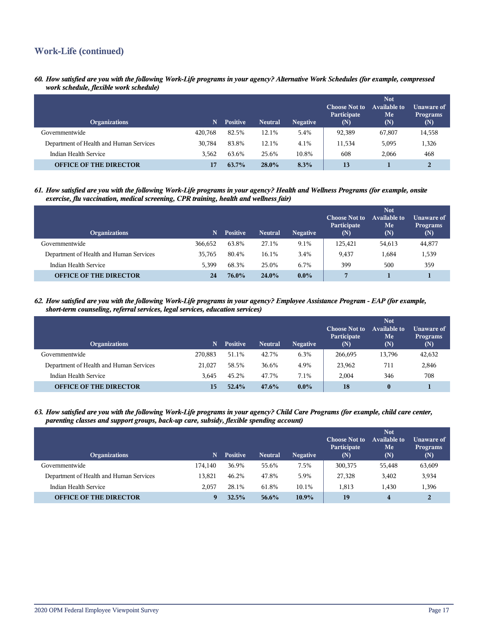## **Work-Life (continued)**

*60. How satisfied are you with the following Work-Life programs in your agency? Alternative Work Schedules (for example, compressed work schedule, flexible work schedule)*

| <b>Organizations</b>                    | N       | <b>Positive</b> | <b>Neutral</b> | <b>Negative</b> | <b>Choose Not to</b><br>Participate<br>(N) | <b>Not</b><br><b>Available to</b><br>Me<br>(N) | Unaware of<br><b>Programs</b><br>(N) |
|-----------------------------------------|---------|-----------------|----------------|-----------------|--------------------------------------------|------------------------------------------------|--------------------------------------|
| Governmentwide                          | 420,768 | 82.5%           | 12.1%          | 5.4%            | 92,389                                     | 67,807                                         | 14,558                               |
| Department of Health and Human Services | 30.784  | 83.8%           | 12.1%          | 4.1%            | 11,534                                     | 5,095                                          | 1,326                                |
| Indian Health Service                   | 3.562   | 63.6%           | 25.6%          | 10.8%           | 608                                        | 2,066                                          | 468                                  |
| <b>OFFICE OF THE DIRECTOR</b>           |         | 63.7%           | 28.0%          | 8.3%            | 13                                         |                                                | 2                                    |

*61. How satisfied are you with the following Work-Life programs in your agency? Health and Wellness Programs (for example, onsite exercise, flu vaccination, medical screening, CPR training, health and wellness fair)*

| <b>Organizations</b>                    | N       | <b>Positive</b> | <b>Neutral</b> | <b>Negative</b> | <b>Choose Not to</b><br>Participate<br>(N) | <b>Not</b><br>Available to<br>Me<br>(N) | Unaware of<br><b>Programs</b><br>(N) |
|-----------------------------------------|---------|-----------------|----------------|-----------------|--------------------------------------------|-----------------------------------------|--------------------------------------|
| Governmentwide                          | 366.652 | 63.8%           | 27.1%          | 9.1%            | 125,421                                    | 54,613                                  | 44,877                               |
| Department of Health and Human Services | 35.765  | 80.4%           | 16.1%          | 3.4%            | 9.437                                      | 1,684                                   | 1,539                                |
| Indian Health Service                   | 5.399   | 68.3%           | 25.0%          | 6.7%            | 399                                        | 500                                     | 359                                  |
| <b>OFFICE OF THE DIRECTOR</b>           | 24      | 76.0%           | 24.0%          | $0.0\%$         | 7                                          |                                         |                                      |

*62. How satisfied are you with the following Work-Life programs in your agency? Employee Assistance Program - EAP (for example, short-term counseling, referral services, legal services, education services)*

| <b>Organizations</b>                    | N       | <b>Positive</b> | <b>Neutral</b> | <b>Negative</b> | <b>Choose Not to</b><br>Participate<br>(N) | <b>Not</b><br>Available to<br>Me<br>(N) | Unaware of<br><b>Programs</b><br>(N) |
|-----------------------------------------|---------|-----------------|----------------|-----------------|--------------------------------------------|-----------------------------------------|--------------------------------------|
| Governmentwide                          | 270.883 | 51.1%           | 42.7%          | 6.3%            | 266,695                                    | 13,796                                  | 42,632                               |
| Department of Health and Human Services | 21.027  | 58.5%           | 36.6%          | 4.9%            | 23,962                                     | 711                                     | 2,846                                |
| Indian Health Service                   | 3.645   | 45.2%           | 47.7%          | 7.1%            | 2.004                                      | 346                                     | 708                                  |
| <b>OFFICE OF THE DIRECTOR</b>           | 15      | 52.4%           | 47.6%          | $0.0\%$         | 18                                         | $\bf{0}$                                |                                      |

*63. How satisfied are you with the following Work-Life programs in your agency? Child Care Programs (for example, child care center, parenting classes and support groups, back-up care, subsidy, flexible spending account)*

| <b>Organizations</b>                    | N       | <b>Positive</b> | <b>Neutral</b> | <b>Negative</b> | <b>Choose Not to</b><br>Participate<br>(N) | <b>Not</b><br><b>Available to</b><br>Me<br>(N) | Unaware of<br><b>Programs</b><br>(N) |
|-----------------------------------------|---------|-----------------|----------------|-----------------|--------------------------------------------|------------------------------------------------|--------------------------------------|
| Governmentwide                          | 174.140 | 36.9%           | 55.6%          | 7.5%            | 300,375                                    | 55,448                                         | 63,609                               |
| Department of Health and Human Services | 13.821  | 46.2%           | 47.8%          | 5.9%            | 27,328                                     | 3,402                                          | 3,934                                |
| Indian Health Service                   | 2.057   | 28.1%           | 61.8%          | 10.1%           | 1.813                                      | 1,430                                          | 1,396                                |
| <b>OFFICE OF THE DIRECTOR</b>           | q       | 32.5%           | $56.6\%$       | $10.9\%$        | 19                                         | $\overline{\mathbf{4}}$                        |                                      |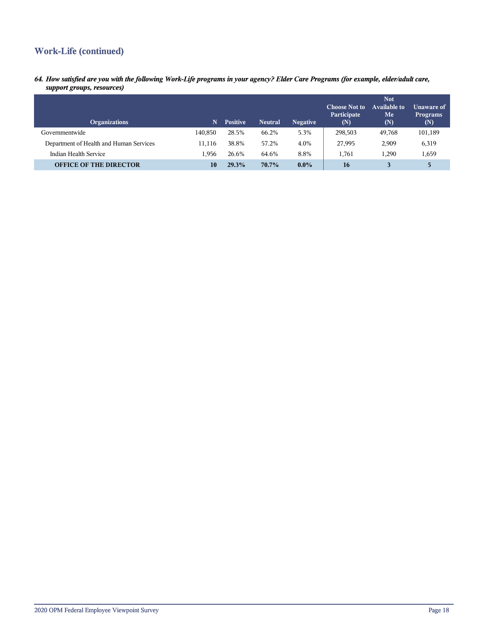## **Work-Life (continued)**

*64. How satisfied are you with the following Work-Life programs in your agency? Elder Care Programs (for example, elder/adult care, support groups, resources)*

| <b>Organizations</b>                    | N       | <b>Positive</b> | <b>Neutral</b> | <b>Negative</b> | <b>Choose Not to</b><br>Participate<br>(N) | <b>Not</b><br>Available to<br>Me<br>(N) | Unaware of<br><b>Programs</b><br>(N) |
|-----------------------------------------|---------|-----------------|----------------|-----------------|--------------------------------------------|-----------------------------------------|--------------------------------------|
| Governmentwide                          | 140.850 | 28.5%           | 66.2%          | 5.3%            | 298,503                                    | 49,768                                  | 101,189                              |
| Department of Health and Human Services | 11.116  | 38.8%           | 57.2%          | 4.0%            | 27,995                                     | 2,909                                   | 6,319                                |
| Indian Health Service                   | 1.956   | 26.6%           | 64.6%          | 8.8%            | 1,761                                      | .290                                    | 1,659                                |
| <b>OFFICE OF THE DIRECTOR</b>           | 10      | 29.3%           | 70.7%          | $0.0\%$         | 16                                         |                                         | 5                                    |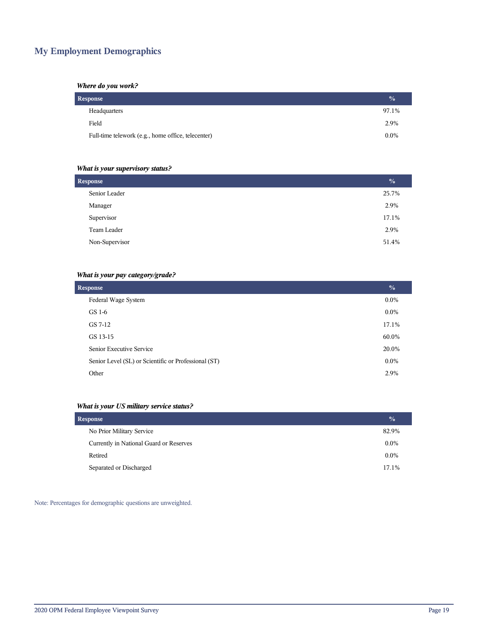## **My Employment Demographics**

#### *Where do you work?*

| <b>Response</b>                                    | $\frac{0}{0}$ |
|----------------------------------------------------|---------------|
| Headquarters                                       | 97.1%         |
| Field                                              | 2.9%          |
| Full-time telework (e.g., home office, telecenter) | $0.0\%$       |

#### *What is your supervisory status?*

| <b>Response</b> |       |  |  |  |  |
|-----------------|-------|--|--|--|--|
| Senior Leader   | 25.7% |  |  |  |  |
| Manager         | 2.9%  |  |  |  |  |
| Supervisor      | 17.1% |  |  |  |  |
| Team Leader     | 2.9%  |  |  |  |  |
| Non-Supervisor  | 51.4% |  |  |  |  |
|                 |       |  |  |  |  |

#### *What is your pay category/grade?*

| <b>Response</b>                                      | $\frac{0}{0}$ |
|------------------------------------------------------|---------------|
| Federal Wage System                                  | $0.0\%$       |
| GS 1-6                                               | $0.0\%$       |
| GS 7-12                                              | 17.1%         |
| GS 13-15                                             | 60.0%         |
| Senior Executive Service                             | 20.0%         |
| Senior Level (SL) or Scientific or Professional (ST) | $0.0\%$       |
| Other                                                | 2.9%          |

#### *What is your US military service status?*

| Response                                |         |  |  |  |  |
|-----------------------------------------|---------|--|--|--|--|
| No Prior Military Service               | 82.9%   |  |  |  |  |
| Currently in National Guard or Reserves | $0.0\%$ |  |  |  |  |
| Retired                                 | $0.0\%$ |  |  |  |  |
| Separated or Discharged                 | 17.1%   |  |  |  |  |

Note: Percentages for demographic questions are unweighted.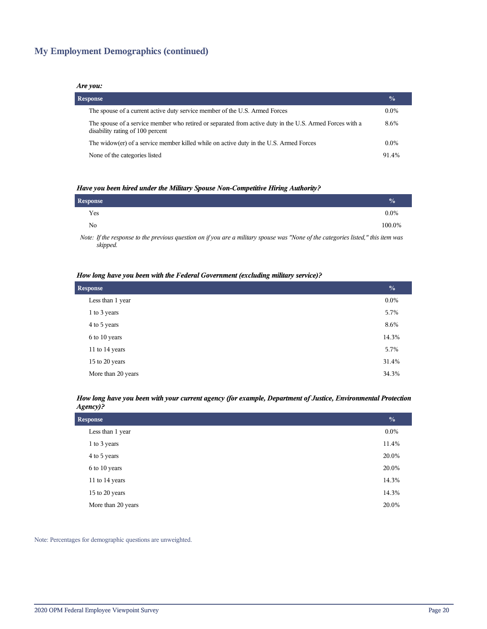## **My Employment Demographics (continued)**

#### *Are you:*

| <b>Response</b>                                                                                                                              | $\frac{6}{9}$ |
|----------------------------------------------------------------------------------------------------------------------------------------------|---------------|
| The spouse of a current active duty service member of the U.S. Armed Forces                                                                  | $0.0\%$       |
| The spouse of a service member who retired or separated from active duty in the U.S. Armed Forces with a<br>disability rating of 100 percent | 8.6%          |
| The widow(er) of a service member killed while on active duty in the U.S. Armed Forces                                                       | $0.0\%$       |
| None of the categories listed                                                                                                                | 914%          |

#### *Have you been hired under the Military Spouse Non-Competitive Hiring Authority?*

| Response       |                                                                                                               |  |          |          |  | $\frac{0}{0}$ |
|----------------|---------------------------------------------------------------------------------------------------------------|--|----------|----------|--|---------------|
| Yes            |                                                                                                               |  |          |          |  | $0.0\%$       |
| N <sub>0</sub> |                                                                                                               |  |          |          |  | 100.0%        |
|                | restricted to the contract of the contract of the contract of the contract of the contract of the contract of |  | $\cdots$ | $\cdots$ |  |               |

*Note: If the response to the previous question on if you are a military spouse was "None of the categories listed," this item was skipped.*

#### *How long have you been with the Federal Government (excluding military service)?*

| <b>Response</b>    |         |  |  |  |  |
|--------------------|---------|--|--|--|--|
| Less than 1 year   | $0.0\%$ |  |  |  |  |
| 1 to 3 years       | 5.7%    |  |  |  |  |
| 4 to 5 years       | 8.6%    |  |  |  |  |
| 6 to 10 years      | 14.3%   |  |  |  |  |
| 11 to 14 years     | 5.7%    |  |  |  |  |
| 15 to 20 years     | 31.4%   |  |  |  |  |
| More than 20 years | 34.3%   |  |  |  |  |

#### *How long have you been with your current agency (for example, Department of Justice, Environmental Protection Agency)?*

| <b>Response</b>    | $\frac{0}{0}$ |
|--------------------|---------------|
| Less than 1 year   | $0.0\%$       |
| 1 to 3 years       | 11.4%         |
| 4 to 5 years       | 20.0%         |
| 6 to 10 years      | 20.0%         |
| 11 to 14 years     | 14.3%         |
| 15 to 20 years     | 14.3%         |
| More than 20 years | 20.0%         |

Note: Percentages for demographic questions are unweighted.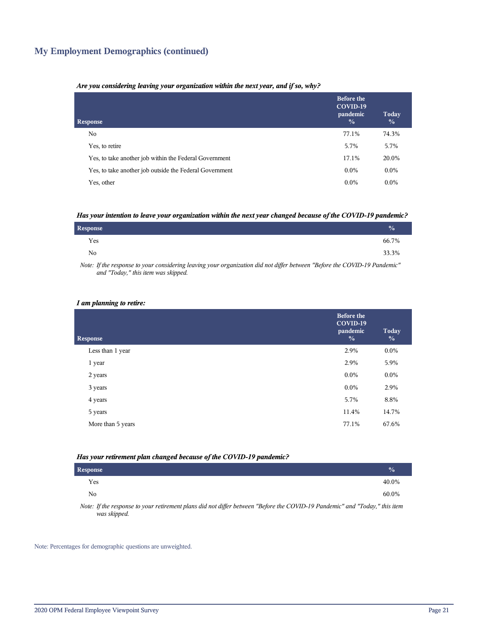## **My Employment Demographics (continued)**

#### *Are you considering leaving your organization within the next year, and if so, why?*

| <b>Response</b>                                         | <b>Before the</b><br>COVID-19<br>pandemic<br>$\frac{0}{0}$ | Today<br>$\frac{0}{0}$ |
|---------------------------------------------------------|------------------------------------------------------------|------------------------|
| No.                                                     | 77.1%                                                      | 74.3%                  |
| Yes, to retire                                          | 5.7%                                                       | 5.7%                   |
| Yes, to take another job within the Federal Government  | 17.1%                                                      | 20.0%                  |
| Yes, to take another job outside the Federal Government | $0.0\%$                                                    | $0.0\%$                |
| Yes, other                                              | $0.0\%$                                                    | $0.0\%$                |

#### *Has your intention to leave your organization within the next year changed because of the COVID-19 pandemic?*

| <b>Response</b> | $\sqrt{0}$ |
|-----------------|------------|
| Yes             | 66.7%      |
| N <sub>0</sub>  | 33.3%      |

*Note: If the response to your considering leaving your organization did not differ between "Before the COVID-19 Pandemic" and "Today," this item was skipped.*

#### *I am planning to retire:*

| <b>Response</b>   | <b>Before the</b><br>COVID-19<br>pandemic<br>$\frac{0}{0}$ | Today<br>$\frac{0}{0}$ |
|-------------------|------------------------------------------------------------|------------------------|
| Less than 1 year  | 2.9%                                                       | $0.0\%$                |
| 1 year            | 2.9%                                                       | 5.9%                   |
| 2 years           | $0.0\%$                                                    | $0.0\%$                |
| 3 years           | $0.0\%$                                                    | 2.9%                   |
| 4 years           | 5.7%                                                       | 8.8%                   |
| 5 years           | 11.4%                                                      | 14.7%                  |
| More than 5 years | 77.1%                                                      | 67.6%                  |
|                   |                                                            |                        |

#### *Has your retirement plan changed because of the COVID-19 pandemic?*

| <b>Response</b> |                                                                                                                                                                                                                                                                                                                   |  |  |  |  |  | $\frac{0}{0}$ |  |
|-----------------|-------------------------------------------------------------------------------------------------------------------------------------------------------------------------------------------------------------------------------------------------------------------------------------------------------------------|--|--|--|--|--|---------------|--|
| Yes             |                                                                                                                                                                                                                                                                                                                   |  |  |  |  |  | 40.0%         |  |
| No              |                                                                                                                                                                                                                                                                                                                   |  |  |  |  |  | 60.0%         |  |
| $\mathbf{v}$    | $\mathcal{L}$ and $\mathcal{L}$ and $\mathcal{L}$ and $\mathcal{L}$ are $\mathcal{L}$ and $\mathcal{L}$ and $\mathcal{L}$ and $\mathcal{L}$ and $\mathcal{L}$ and $\mathcal{L}$ and $\mathcal{L}$ and $\mathcal{L}$ and $\mathcal{L}$ and $\mathcal{L}$ and $\mathcal{L}$ and $\mathcal{L}$ and $\mathcal{L}$ and |  |  |  |  |  |               |  |

*Note: If the response to your retirement plans did not differ between "Before the COVID-19 Pandemic" and "Today," this item was skipped.*

Note: Percentages for demographic questions are unweighted.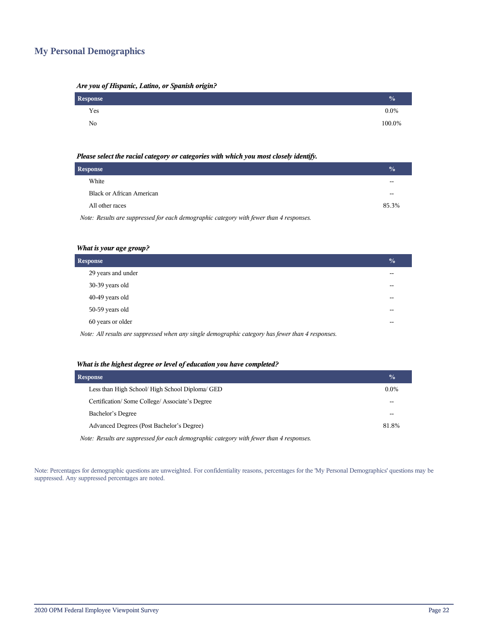## **My Personal Demographics**

| Are you of Hispanic, Latino, or Spanish origin? |  |  |
|-------------------------------------------------|--|--|
|                                                 |  |  |

| Response | $\frac{0}{0}$ |
|----------|---------------|
| Yes      | $0.0\%$       |
| No       | 100.0%        |

#### *Please select the racial category or categories with which you most closely identify.*

| Response                                                                                |       |  |
|-----------------------------------------------------------------------------------------|-------|--|
| White                                                                                   | --    |  |
| <b>Black or African American</b>                                                        |       |  |
| All other races                                                                         | 85.3% |  |
| Note: Results are suppressed for each demographic category with fewer than 4 responses. |       |  |

| What is your age group? |  |  |  |
|-------------------------|--|--|--|
|-------------------------|--|--|--|

| <b>Response</b>                                                                                   | $\frac{1}{2}$ |
|---------------------------------------------------------------------------------------------------|---------------|
| 29 years and under                                                                                |               |
| 30-39 years old                                                                                   | --            |
| 40-49 years old                                                                                   | --            |
| 50-59 years old                                                                                   | --            |
| 60 years or older                                                                                 | --            |
| Note: All results are suppressed when any single demographic category has fewer than 4 responses. |               |

#### *What is the highest degree or level of education you have completed?*

| <b>Response</b>                                                                         | $\frac{0}{0}$ |
|-----------------------------------------------------------------------------------------|---------------|
| Less than High School/ High School Diploma/ GED                                         | $0.0\%$       |
| Certification/Some College/Associate's Degree                                           |               |
| Bachelor's Degree                                                                       |               |
| Advanced Degrees (Post Bachelor's Degree)                                               | 81.8%         |
| Note: Results are suppressed for each demographic category with fewer than 4 responses. |               |

Note: Percentages for demographic questions are unweighted. For confidentiality reasons, percentages for the 'My Personal Demographics' questions may be suppressed. Any suppressed percentages are noted.